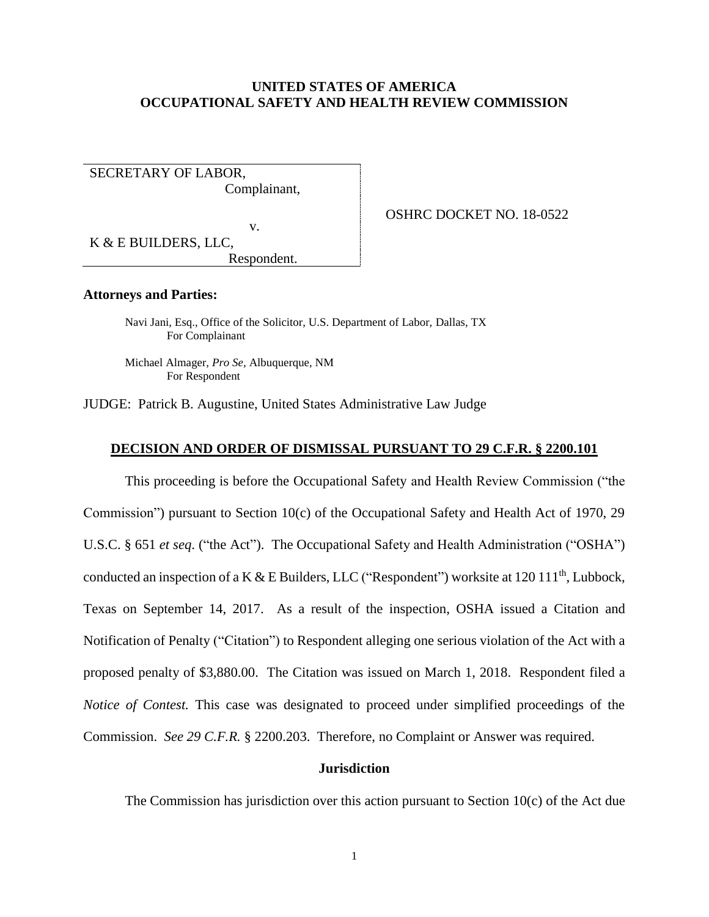# **UNITED STATES OF AMERICA OCCUPATIONAL SAFETY AND HEALTH REVIEW COMMISSION**

SECRETARY OF LABOR, Complainant,

OSHRC DOCKET NO. 18-0522

K & E BUILDERS, LLC,

v.

Respondent.

## **Attorneys and Parties:**

Navi Jani, Esq., Office of the Solicitor, U.S. Department of Labor, Dallas, TX For Complainant

Michael Almager, *Pro Se,* Albuquerque, NM For Respondent

JUDGE: Patrick B. Augustine, United States Administrative Law Judge

#### **DECISION AND ORDER OF DISMISSAL PURSUANT TO 29 C.F.R. § 2200.101**

This proceeding is before the Occupational Safety and Health Review Commission ("the Commission") pursuant to Section 10(c) of the Occupational Safety and Health Act of 1970, 29 U.S.C. § 651 *et seq*. ("the Act"). The Occupational Safety and Health Administration ("OSHA") conducted an inspection of a K & E Builders, LLC ("Respondent") worksite at 120 111th, Lubbock, Texas on September 14, 2017. As a result of the inspection, OSHA issued a Citation and Notification of Penalty ("Citation") to Respondent alleging one serious violation of the Act with a proposed penalty of \$3,880.00. The Citation was issued on March 1, 2018. Respondent filed a *Notice of Contest.* This case was designated to proceed under simplified proceedings of the Commission. *See 29 C.F.R.* § 2200.203. Therefore, no Complaint or Answer was required.

## **Jurisdiction**

The Commission has jurisdiction over this action pursuant to Section  $10(c)$  of the Act due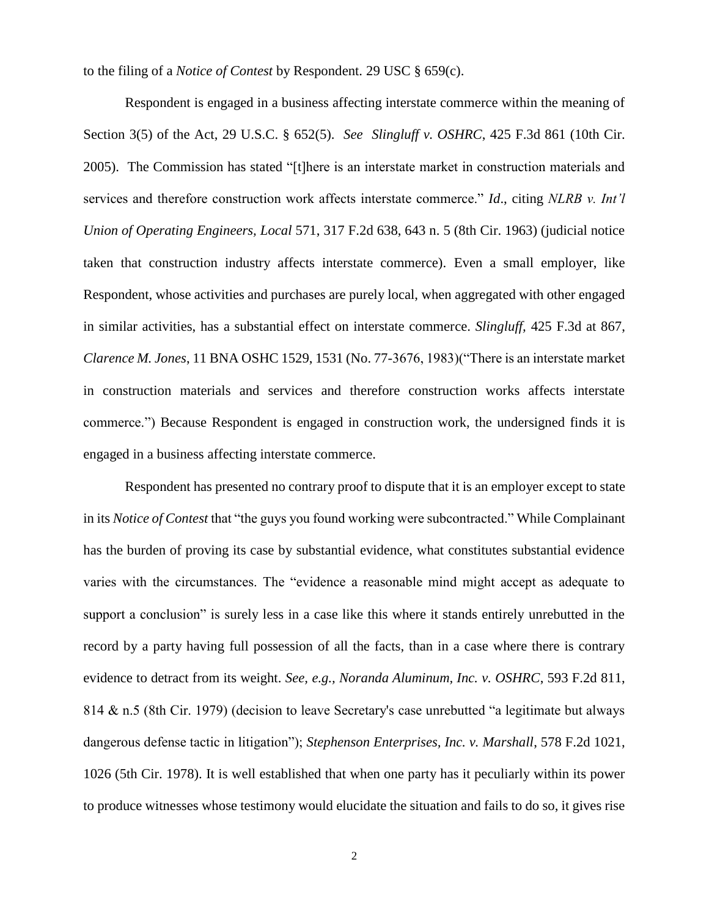to the filing of a *Notice of Contest* by Respondent. 29 USC § 659(c).

Respondent is engaged in a business affecting interstate commerce within the meaning of Section 3(5) of the Act, 29 U.S.C. § 652(5). *See Slingluff v. OSHRC*, 425 F.3d 861 (10th Cir. 2005). The Commission has stated "[t]here is an interstate market in construction materials and services and therefore construction work affects interstate commerce." *Id*., citing *NLRB v. Int'l Union of Operating Engineers, Local* 571, 317 F.2d 638, 643 n. 5 (8th Cir. 1963) (judicial notice taken that construction industry affects interstate commerce). Even a small employer, like Respondent, whose activities and purchases are purely local, when aggregated with other engaged in similar activities, has a substantial effect on interstate commerce. *Slingluff,* 425 F.3d at 867, *Clarence M. Jones*, 11 BNA OSHC 1529, 1531 (No. 77-3676, 1983)("There is an interstate market in construction materials and services and therefore construction works affects interstate commerce.") Because Respondent is engaged in construction work, the undersigned finds it is engaged in a business affecting interstate commerce.

Respondent has presented no contrary proof to dispute that it is an employer except to state in its *Notice of Contest* that "the guys you found working were subcontracted." While Complainant has the burden of proving its case by substantial evidence, what constitutes substantial evidence varies with the circumstances. The "evidence a reasonable mind might accept as adequate to support a conclusion" is surely less in a case like this where it stands entirely unrebutted in the record by a party having full possession of all the facts, than in a case where there is contrary evidence to detract from its weight. *See, e.g., Noranda Aluminum, Inc. v. OSHRC*, 593 F.2d 811, 814 & n.5 (8th Cir. 1979) (decision to leave Secretary's case unrebutted "a legitimate but always dangerous defense tactic in litigation"); *Stephenson Enterprises, Inc. v. Marshall*, 578 F.2d 1021, 1026 (5th Cir. 1978). It is well established that when one party has it peculiarly within its power to produce witnesses whose testimony would elucidate the situation and fails to do so, it gives rise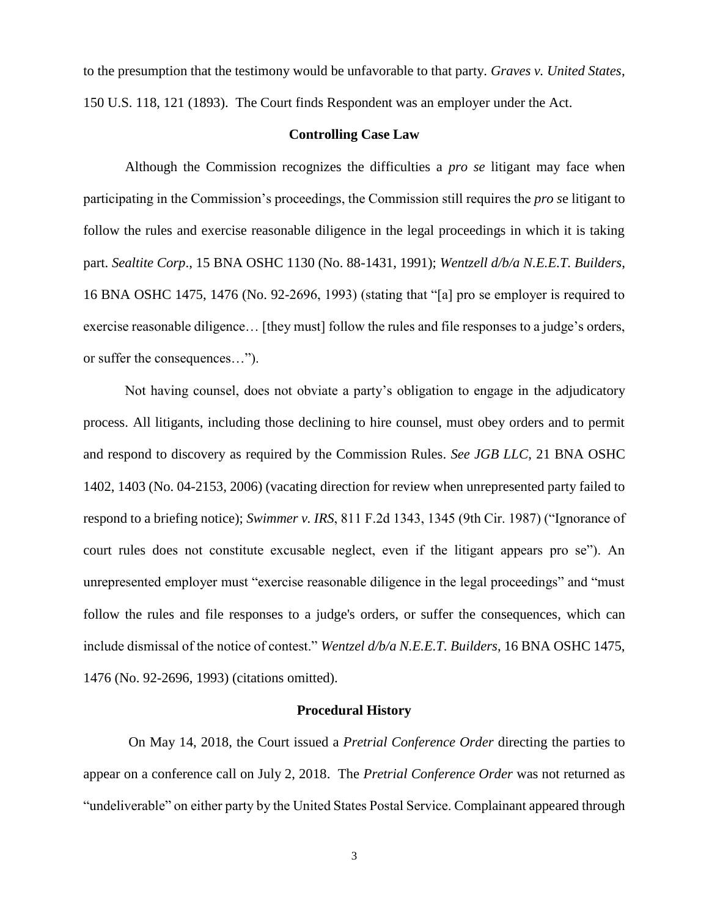to the presumption that the testimony would be unfavorable to that party. *Graves v. United States*, 150 U.S. 118, 121 (1893). The Court finds Respondent was an employer under the Act.

## **Controlling Case Law**

Although the Commission recognizes the difficulties a *pro se* litigant may face when participating in the Commission's proceedings, the Commission still requires the *pro s*e litigant to follow the rules and exercise reasonable diligence in the legal proceedings in which it is taking part. *Sealtite Corp*., 15 BNA OSHC 1130 (No. 88-1431, 1991); *Wentzell d/b/a N.E.E.T. Builders*, 16 BNA OSHC 1475, 1476 (No. 92-2696, 1993) (stating that "[a] pro se employer is required to exercise reasonable diligence… [they must] follow the rules and file responses to a judge's orders, or suffer the consequences…").

Not having counsel, does not obviate a party's obligation to engage in the adjudicatory process. All litigants, including those declining to hire counsel, must obey orders and to permit and respond to discovery as required by the Commission Rules. *See JGB LLC,* 21 BNA OSHC 1402, 1403 (No. 04-2153, 2006) (vacating direction for review when unrepresented party failed to respond to a briefing notice); *Swimmer v. IRS*, 811 F.2d 1343, 1345 (9th Cir. 1987) ("Ignorance of court rules does not constitute excusable neglect, even if the litigant appears pro se"). An unrepresented employer must "exercise reasonable diligence in the legal proceedings" and "must follow the rules and file responses to a judge's orders, or suffer the consequences, which can include dismissal of the notice of contest." *Wentzel d/b/a N.E.E.T. Builders*, 16 BNA OSHC 1475, 1476 (No. 92-2696, 1993) (citations omitted).

## **Procedural History**

On May 14, 2018, the Court issued a *Pretrial Conference Order* directing the parties to appear on a conference call on July 2, 2018. The *Pretrial Conference Order* was not returned as "undeliverable" on either party by the United States Postal Service. Complainant appeared through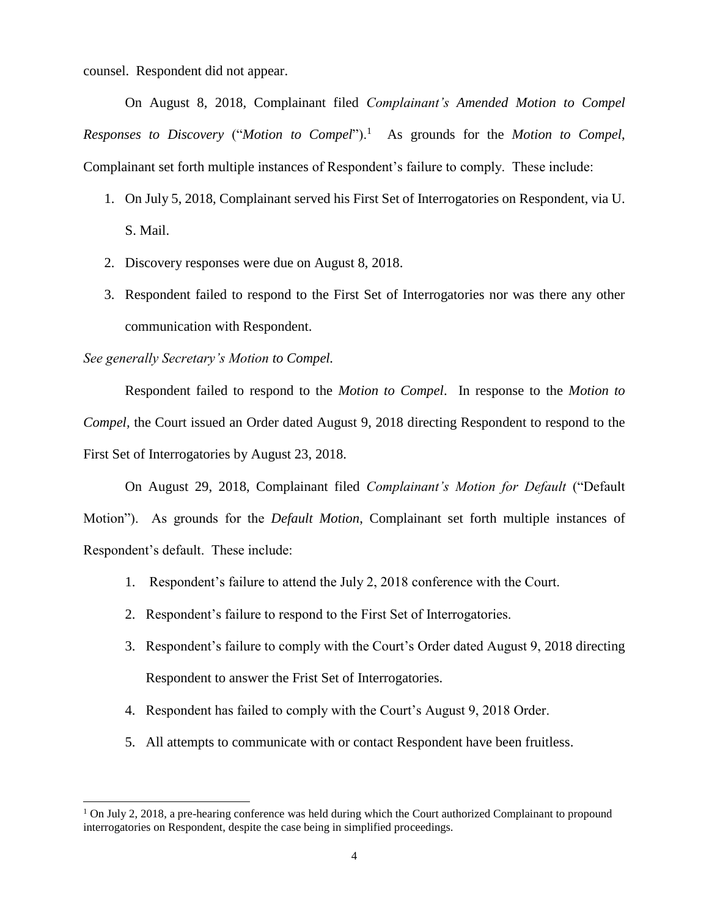counsel. Respondent did not appear.

On August 8, 2018, Complainant filed *Complainant's Amended Motion to Compel Responses to Discovery* ("*Motion to Compel*").<sup>1</sup> As grounds for the *Motion to Compel*, Complainant set forth multiple instances of Respondent's failure to comply. These include:

- 1. On July 5, 2018, Complainant served his First Set of Interrogatories on Respondent, via U. S. Mail.
- 2. Discovery responses were due on August 8, 2018.
- 3. Respondent failed to respond to the First Set of Interrogatories nor was there any other communication with Respondent.

## *See generally Secretary's Motion to Compel.*

 $\overline{\phantom{a}}$ 

Respondent failed to respond to the *Motion to Compel*. In response to the *Motion to Compel,* the Court issued an Order dated August 9, 2018 directing Respondent to respond to the First Set of Interrogatories by August 23, 2018.

On August 29, 2018, Complainant filed *Complainant's Motion for Default* ("Default Motion"). As grounds for the *Default Motion*, Complainant set forth multiple instances of Respondent's default. These include:

- 1. Respondent's failure to attend the July 2, 2018 conference with the Court.
- 2. Respondent's failure to respond to the First Set of Interrogatories.
- 3. Respondent's failure to comply with the Court's Order dated August 9, 2018 directing Respondent to answer the Frist Set of Interrogatories.
- 4. Respondent has failed to comply with the Court's August 9, 2018 Order.
- 5. All attempts to communicate with or contact Respondent have been fruitless.

 $1$  On July 2, 2018, a pre-hearing conference was held during which the Court authorized Complainant to propound interrogatories on Respondent, despite the case being in simplified proceedings.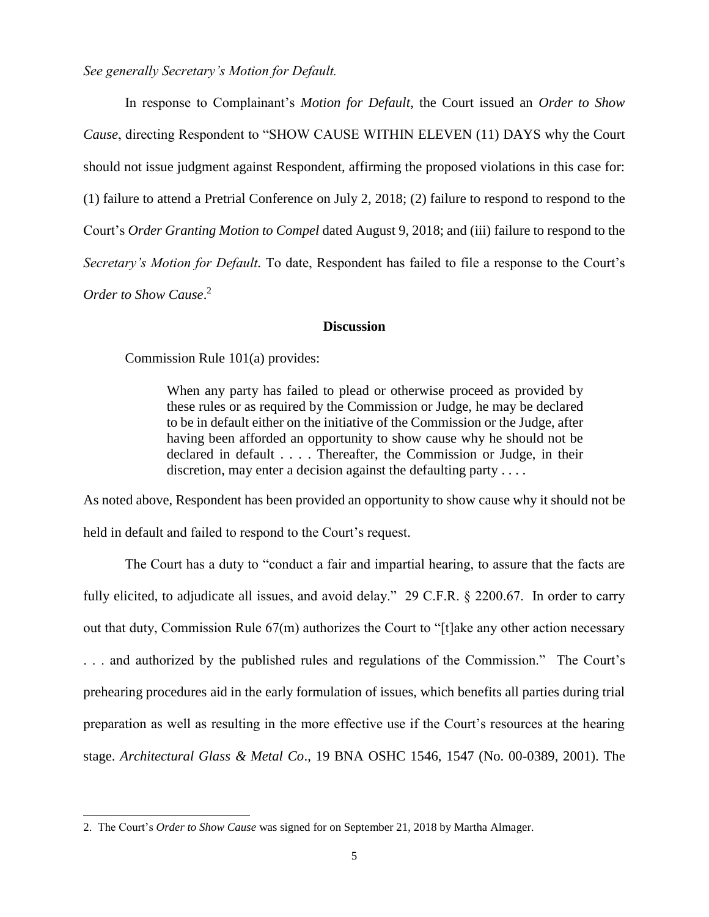*See generally Secretary's Motion for Default.* 

In response to Complainant's *Motion for Default*, the Court issued an *Order to Show Cause*, directing Respondent to "SHOW CAUSE WITHIN ELEVEN (11) DAYS why the Court should not issue judgment against Respondent, affirming the proposed violations in this case for: (1) failure to attend a Pretrial Conference on July 2, 2018; (2) failure to respond to respond to the Court's *Order Granting Motion to Compel* dated August 9, 2018; and (iii) failure to respond to the *Secretary's Motion for Default.* To date, Respondent has failed to file a response to the Court's *Order to Show Cause*. 2

## **Discussion**

Commission Rule 101(a) provides:

When any party has failed to plead or otherwise proceed as provided by these rules or as required by the Commission or Judge, he may be declared to be in default either on the initiative of the Commission or the Judge, after having been afforded an opportunity to show cause why he should not be declared in default . . . . Thereafter, the Commission or Judge, in their discretion, may enter a decision against the defaulting party  $\dots$ 

As noted above, Respondent has been provided an opportunity to show cause why it should not be held in default and failed to respond to the Court's request.

The Court has a duty to "conduct a fair and impartial hearing, to assure that the facts are fully elicited, to adjudicate all issues, and avoid delay." 29 C.F.R. § 2200.67. In order to carry out that duty, Commission Rule 67(m) authorizes the Court to "[t]ake any other action necessary . . . and authorized by the published rules and regulations of the Commission." The Court's prehearing procedures aid in the early formulation of issues, which benefits all parties during trial preparation as well as resulting in the more effective use if the Court's resources at the hearing stage. *Architectural Glass & Metal Co*., 19 BNA OSHC 1546, 1547 (No. 00-0389, 2001). The

 $\overline{\phantom{a}}$ 

<sup>2.</sup> The Court's *Order to Show Cause* was signed for on September 21, 2018 by Martha Almager.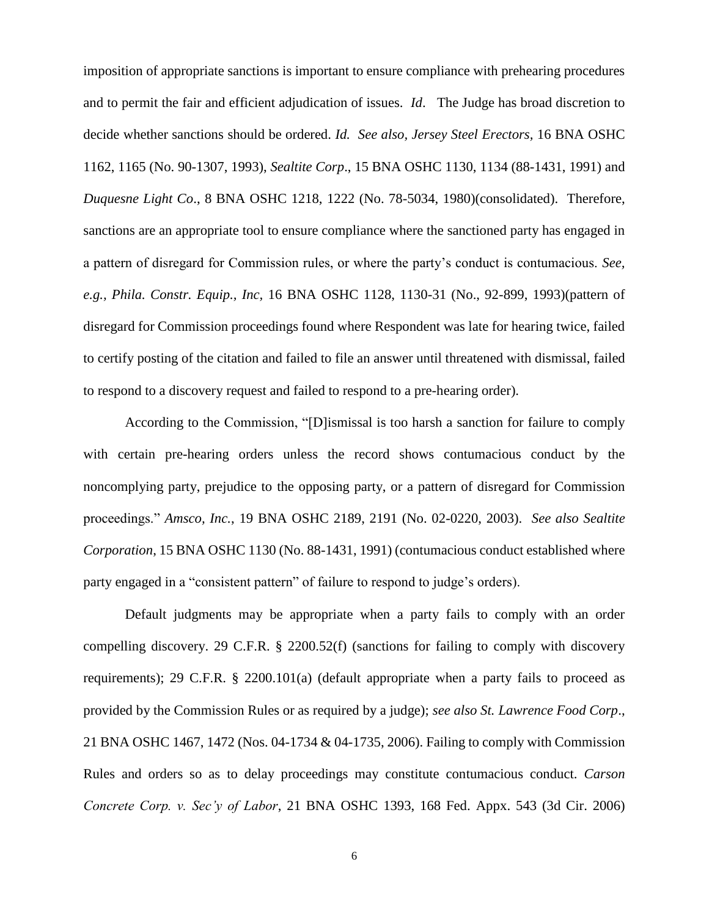imposition of appropriate sanctions is important to ensure compliance with prehearing procedures and to permit the fair and efficient adjudication of issues. *Id*. The Judge has broad discretion to decide whether sanctions should be ordered. *Id. See also, Jersey Steel Erectors,* 16 BNA OSHC 1162, 1165 (No. 90-1307, 1993), *Sealtite Corp*., 15 BNA OSHC 1130, 1134 (88-1431, 1991) and *Duquesne Light Co*., 8 BNA OSHC 1218, 1222 (No. 78-5034, 1980)(consolidated). Therefore, sanctions are an appropriate tool to ensure compliance where the sanctioned party has engaged in a pattern of disregard for Commission rules, or where the party's conduct is contumacious. *See, e.g., Phila. Constr. Equip., Inc,* 16 BNA OSHC 1128, 1130-31 (No., 92-899, 1993)(pattern of disregard for Commission proceedings found where Respondent was late for hearing twice, failed to certify posting of the citation and failed to file an answer until threatened with dismissal, failed to respond to a discovery request and failed to respond to a pre-hearing order).

According to the Commission, "[D]ismissal is too harsh a sanction for failure to comply with certain pre-hearing orders unless the record shows contumacious conduct by the noncomplying party, prejudice to the opposing party, or a pattern of disregard for Commission proceedings." *Amsco, Inc.*, 19 BNA OSHC 2189, 2191 (No. 02-0220, 2003). *See also Sealtite Corporation*, 15 BNA OSHC 1130 (No. 88-1431, 1991) (contumacious conduct established where party engaged in a "consistent pattern" of failure to respond to judge's orders).

Default judgments may be appropriate when a party fails to comply with an order compelling discovery. 29 C.F.R. § 2200.52(f) (sanctions for failing to comply with discovery requirements); 29 C.F.R. § 2200.101(a) (default appropriate when a party fails to proceed as provided by the Commission Rules or as required by a judge); *see also St. Lawrence Food Corp*., 21 BNA OSHC 1467, 1472 (Nos. 04-1734 & 04-1735, 2006). Failing to comply with Commission Rules and orders so as to delay proceedings may constitute contumacious conduct. *Carson Concrete Corp. v. Sec'y of Labor*, 21 BNA OSHC 1393, 168 Fed. Appx. 543 (3d Cir. 2006)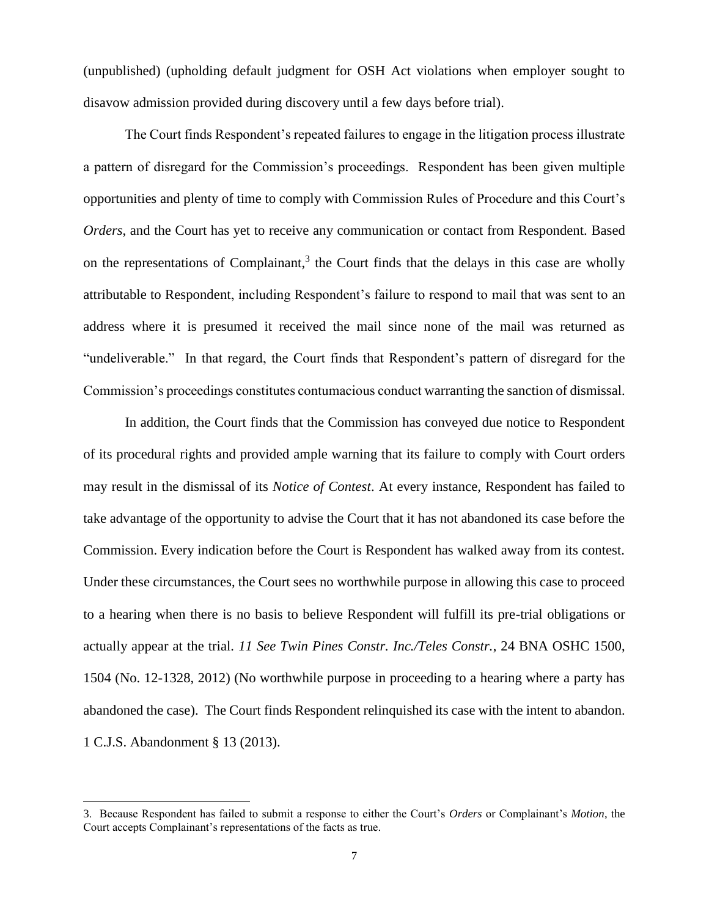(unpublished) (upholding default judgment for OSH Act violations when employer sought to disavow admission provided during discovery until a few days before trial).

The Court finds Respondent's repeated failures to engage in the litigation process illustrate a pattern of disregard for the Commission's proceedings. Respondent has been given multiple opportunities and plenty of time to comply with Commission Rules of Procedure and this Court's *Orders*, and the Court has yet to receive any communication or contact from Respondent. Based on the representations of Complainant, $3$  the Court finds that the delays in this case are wholly attributable to Respondent, including Respondent's failure to respond to mail that was sent to an address where it is presumed it received the mail since none of the mail was returned as "undeliverable." In that regard, the Court finds that Respondent's pattern of disregard for the Commission's proceedings constitutes contumacious conduct warranting the sanction of dismissal.

In addition, the Court finds that the Commission has conveyed due notice to Respondent of its procedural rights and provided ample warning that its failure to comply with Court orders may result in the dismissal of its *Notice of Contest*. At every instance, Respondent has failed to take advantage of the opportunity to advise the Court that it has not abandoned its case before the Commission. Every indication before the Court is Respondent has walked away from its contest. Under these circumstances, the Court sees no worthwhile purpose in allowing this case to proceed to a hearing when there is no basis to believe Respondent will fulfill its pre-trial obligations or actually appear at the trial. *11 See Twin Pines Constr. Inc./Teles Constr.*, 24 BNA OSHC 1500, 1504 (No. 12-1328, 2012) (No worthwhile purpose in proceeding to a hearing where a party has abandoned the case). The Court finds Respondent relinquished its case with the intent to abandon. 1 C.J.S. Abandonment § 13 (2013).

 $\overline{\phantom{a}}$ 

<sup>3.</sup> Because Respondent has failed to submit a response to either the Court's *Orders* or Complainant's *Motion*, the Court accepts Complainant's representations of the facts as true.